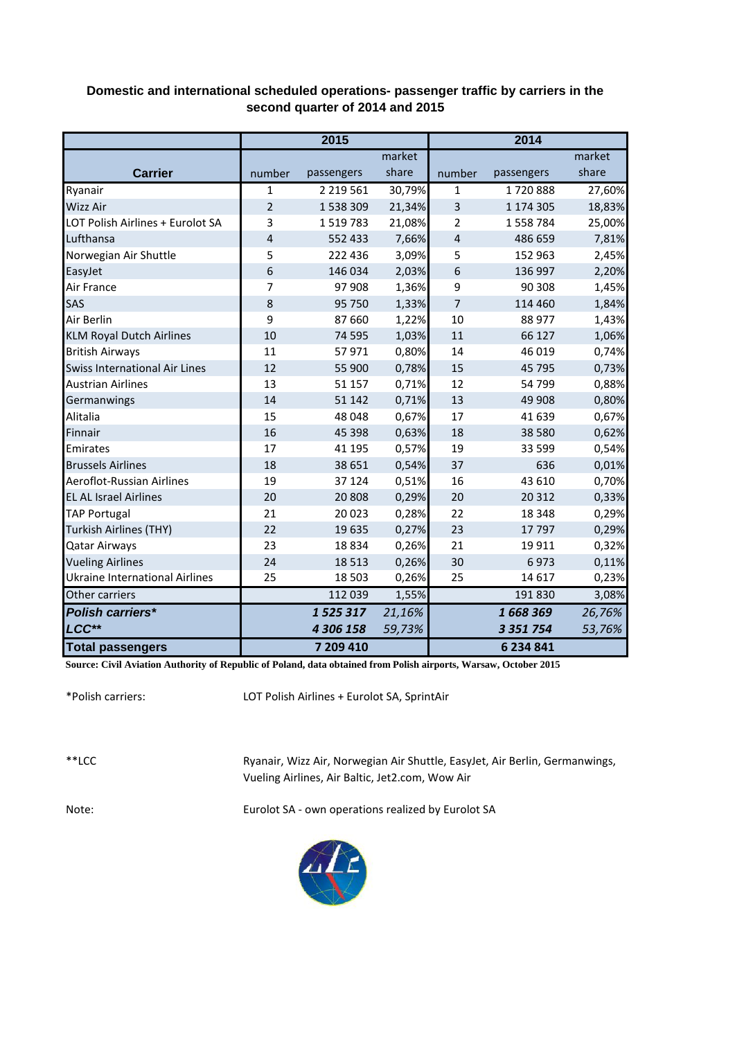## **Domestic and international scheduled operations- passenger traffic by carriers in the second quarter of 2014 and 2015**

|                                       |                | 2015          |        | 2014           |               |        |  |
|---------------------------------------|----------------|---------------|--------|----------------|---------------|--------|--|
|                                       |                |               | market |                |               | market |  |
| <b>Carrier</b>                        | number         | passengers    | share  | number         | passengers    | share  |  |
| Ryanair                               | 1              | 2 2 1 9 5 6 1 | 30,79% | 1              | 1720888       | 27,60% |  |
| Wizz Air                              | $\overline{2}$ | 1538309       | 21,34% | 3              | 1 174 305     | 18,83% |  |
| LOT Polish Airlines + Eurolot SA      | 3              | 1519783       | 21,08% | 2              | 1558784       | 25,00% |  |
| Lufthansa                             | $\overline{4}$ | 552 433       | 7,66%  | $\overline{4}$ | 486 659       | 7,81%  |  |
| Norwegian Air Shuttle                 | 5              | 222 436       | 3,09%  | 5              | 152 963       | 2,45%  |  |
| EasyJet                               | 6              | 146 034       | 2,03%  | 6              | 136 997       | 2,20%  |  |
| Air France                            | 7              | 97 908        | 1,36%  | 9              | 90 308        | 1,45%  |  |
| SAS                                   | 8              | 95 750        | 1,33%  | 7              | 114 460       | 1,84%  |  |
| Air Berlin                            | 9              | 87 660        | 1,22%  | 10             | 88 977        | 1,43%  |  |
| <b>KLM Royal Dutch Airlines</b>       | 10             | 74 595        | 1,03%  | 11             | 66 127        | 1,06%  |  |
| <b>British Airways</b>                | 11             | 57971         | 0,80%  | 14             | 46 019        | 0,74%  |  |
| <b>Swiss International Air Lines</b>  | 12             | 55 900        | 0,78%  | 15             | 45 795        | 0,73%  |  |
| <b>Austrian Airlines</b>              | 13             | 51 157        | 0,71%  | 12             | 54 799        | 0,88%  |  |
| Germanwings                           | 14             | 51 142        | 0,71%  | 13             | 49 908        | 0,80%  |  |
| Alitalia                              | 15             | 48 048        | 0,67%  | 17             | 41 639        | 0,67%  |  |
| Finnair                               | 16             | 45 3 98       | 0,63%  | 18             | 38 5 80       | 0,62%  |  |
| Emirates                              | 17             | 41 195        | 0,57%  | 19             | 33 599        | 0,54%  |  |
| <b>Brussels Airlines</b>              | 18             | 38 651        | 0,54%  | 37             | 636           | 0,01%  |  |
| Aeroflot-Russian Airlines             | 19             | 37 124        | 0,51%  | 16             | 43 610        | 0,70%  |  |
| <b>EL AL Israel Airlines</b>          | 20             | 20 808        | 0,29%  | 20             | 20 312        | 0,33%  |  |
| <b>TAP Portugal</b>                   | 21             | 20 0 23       | 0,28%  | 22             | 18 3 48       | 0,29%  |  |
| <b>Turkish Airlines (THY)</b>         | 22             | 19635         | 0,27%  | 23             | 17797         | 0,29%  |  |
| <b>Qatar Airways</b>                  | 23             | 18834         | 0,26%  | 21             | 19 9 11       | 0,32%  |  |
| <b>Vueling Airlines</b>               | 24             | 18 5 13       | 0,26%  | 30             | 6973          | 0,11%  |  |
| <b>Ukraine International Airlines</b> | 25             | 18 503        | 0,26%  | 25             | 14 6 17       | 0,23%  |  |
| Other carriers                        |                | 112 039       | 1,55%  |                | 191 830       | 3,08%  |  |
| <b>Polish carriers*</b>               |                | 1525317       | 21,16% |                | 1668369       | 26,76% |  |
| LCC**                                 |                | 4 306 158     | 59,73% |                | 3 3 5 1 7 5 4 | 53,76% |  |
| <b>Total passengers</b>               |                | 7 209 410     |        |                | 6 234 841     |        |  |

**Source: Civil Aviation Authority of Republic of Poland, data obtained from Polish airports, Warsaw, October 2015**

\*Polish carriers:

LOT Polish Airlines + Eurolot SA, SprintAir

\*\*LCC

Ryanair, Wizz Air, Norwegian Air Shuttle, EasyJet, Air Berlin, Germanwings, Vueling Airlines, Air Baltic, Jet2.com, Wow Air

Note: Eurolot SA - own operations realized by Eurolot SA